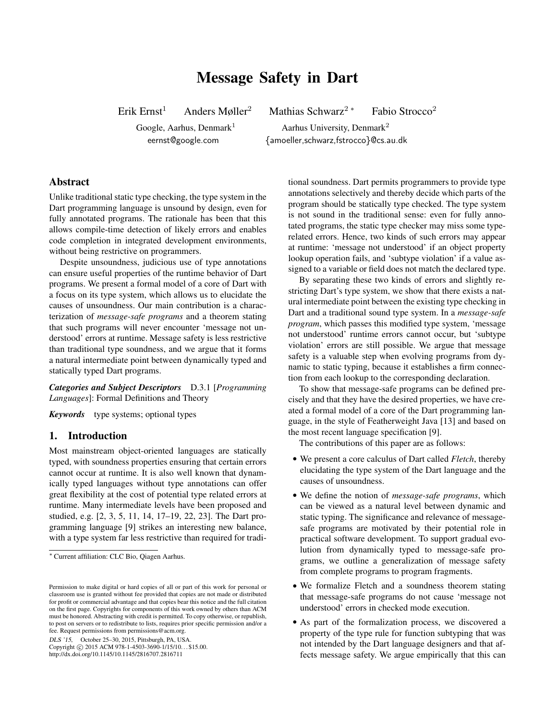# Message Safety in Dart

Erik Ernst<sup>1</sup> Anders Møller<sup>2</sup> Mathias Schwarz<sup>2 ∗</sup> Fabio Strocco<sup>2</sup>

Google, Aarhus, Denmark<sup>1</sup> Aarhus University, Denmark<sup>2</sup> eernst@google.com {amoeller,schwarz,fstrocco}@cs.au.dk

# Abstract

Unlike traditional static type checking, the type system in the Dart programming language is unsound by design, even for fully annotated programs. The rationale has been that this allows compile-time detection of likely errors and enables code completion in integrated development environments, without being restrictive on programmers.

Despite unsoundness, judicious use of type annotations can ensure useful properties of the runtime behavior of Dart programs. We present a formal model of a core of Dart with a focus on its type system, which allows us to elucidate the causes of unsoundness. Our main contribution is a characterization of *message-safe programs* and a theorem stating that such programs will never encounter 'message not understood' errors at runtime. Message safety is less restrictive than traditional type soundness, and we argue that it forms a natural intermediate point between dynamically typed and statically typed Dart programs.

*Categories and Subject Descriptors* D.3.1 [*Programming Languages*]: Formal Definitions and Theory

*Keywords* type systems; optional types

# 1. Introduction

Most mainstream object-oriented languages are statically typed, with soundness properties ensuring that certain errors cannot occur at runtime. It is also well known that dynamically typed languages without type annotations can offer great flexibility at the cost of potential type related errors at runtime. Many intermediate levels have been proposed and studied, e.g. [2, 3, 5, 11, 14, 17–19, 22, 23]. The Dart programming language [9] strikes an interesting new balance, with a type system far less restrictive than required for tradi-

DLS '15, October 25–30, 2015, Pittsburgh, PA, USA.

Copyright © 2015 ACM 978-1-4503-3690-1/15/10... \$15.00. http://dx.doi.org/10.1145/10.1145/2816707.2816711

tional soundness. Dart permits programmers to provide type annotations selectively and thereby decide which parts of the program should be statically type checked. The type system is not sound in the traditional sense: even for fully annotated programs, the static type checker may miss some typerelated errors. Hence, two kinds of such errors may appear at runtime: 'message not understood' if an object property lookup operation fails, and 'subtype violation' if a value assigned to a variable or field does not match the declared type.

By separating these two kinds of errors and slightly restricting Dart's type system, we show that there exists a natural intermediate point between the existing type checking in Dart and a traditional sound type system. In a *message-safe program*, which passes this modified type system, 'message not understood' runtime errors cannot occur, but 'subtype violation' errors are still possible. We argue that message safety is a valuable step when evolving programs from dynamic to static typing, because it establishes a firm connection from each lookup to the corresponding declaration.

To show that message-safe programs can be defined precisely and that they have the desired properties, we have created a formal model of a core of the Dart programming language, in the style of Featherweight Java [13] and based on the most recent language specification [9].

The contributions of this paper are as follows:

- We present a core calculus of Dart called *Fletch*, thereby elucidating the type system of the Dart language and the causes of unsoundness.
- We define the notion of *message-safe programs*, which can be viewed as a natural level between dynamic and static typing. The significance and relevance of messagesafe programs are motivated by their potential role in practical software development. To support gradual evolution from dynamically typed to message-safe programs, we outline a generalization of message safety from complete programs to program fragments.
- We formalize Fletch and a soundness theorem stating that message-safe programs do not cause 'message not understood' errors in checked mode execution.
- As part of the formalization process, we discovered a property of the type rule for function subtyping that was not intended by the Dart language designers and that affects message safety. We argue empirically that this can

<sup>∗</sup> Current affiliation: CLC Bio, Qiagen Aarhus.

Permission to make digital or hard copies of all or part of this work for personal or classroom use is granted without fee provided that copies are not made or distributed for profit or commercial advantage and that copies bear this notice and the full citation on the first page. Copyrights for components of this work owned by others than ACM must be honored. Abstracting with credit is permitted. To copy otherwise, or republish, to post on servers or to redistribute to lists, requires prior specific permission and/or a fee. Request permissions from permissions@acm.org.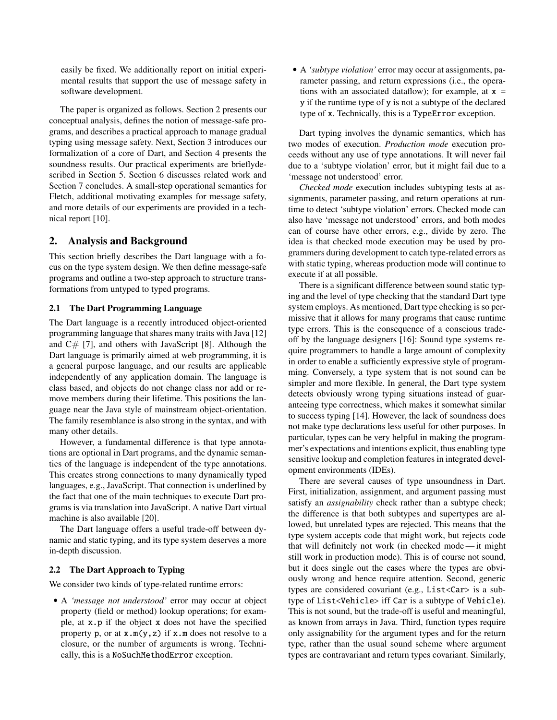easily be fixed. We additionally report on initial experimental results that support the use of message safety in software development.

The paper is organized as follows. Section 2 presents our conceptual analysis, defines the notion of message-safe programs, and describes a practical approach to manage gradual typing using message safety. Next, Section 3 introduces our formalization of a core of Dart, and Section 4 presents the soundness results. Our practical experiments are brieflydescribed in Section 5. Section 6 discusses related work and Section 7 concludes. A small-step operational semantics for Fletch, additional motivating examples for message safety, and more details of our experiments are provided in a technical report [10].

# 2. Analysis and Background

This section briefly describes the Dart language with a focus on the type system design. We then define message-safe programs and outline a two-step approach to structure transformations from untyped to typed programs.

### 2.1 The Dart Programming Language

The Dart language is a recently introduced object-oriented programming language that shares many traits with Java [12] and  $C#$  [7], and others with JavaScript [8]. Although the Dart language is primarily aimed at web programming, it is a general purpose language, and our results are applicable independently of any application domain. The language is class based, and objects do not change class nor add or remove members during their lifetime. This positions the language near the Java style of mainstream object-orientation. The family resemblance is also strong in the syntax, and with many other details.

However, a fundamental difference is that type annotations are optional in Dart programs, and the dynamic semantics of the language is independent of the type annotations. This creates strong connections to many dynamically typed languages, e.g., JavaScript. That connection is underlined by the fact that one of the main techniques to execute Dart programs is via translation into JavaScript. A native Dart virtual machine is also available [20].

The Dart language offers a useful trade-off between dynamic and static typing, and its type system deserves a more in-depth discussion.

### 2.2 The Dart Approach to Typing

We consider two kinds of type-related runtime errors:

• A *'message not understood'* error may occur at object property (field or method) lookup operations; for example, at x.p if the object x does not have the specified property p, or at  $x.m(y, z)$  if  $x.m$  does not resolve to a closure, or the number of arguments is wrong. Technically, this is a NoSuchMethodError exception.

• A *'subtype violation'* error may occur at assignments, parameter passing, and return expressions (i.e., the operations with an associated dataflow); for example, at  $x =$ y if the runtime type of y is not a subtype of the declared type of x. Technically, this is a TypeError exception.

Dart typing involves the dynamic semantics, which has two modes of execution. *Production mode* execution proceeds without any use of type annotations. It will never fail due to a 'subtype violation' error, but it might fail due to a 'message not understood' error.

*Checked mode* execution includes subtyping tests at assignments, parameter passing, and return operations at runtime to detect 'subtype violation' errors. Checked mode can also have 'message not understood' errors, and both modes can of course have other errors, e.g., divide by zero. The idea is that checked mode execution may be used by programmers during development to catch type-related errors as with static typing, whereas production mode will continue to execute if at all possible.

There is a significant difference between sound static typing and the level of type checking that the standard Dart type system employs. As mentioned, Dart type checking is so permissive that it allows for many programs that cause runtime type errors. This is the consequence of a conscious tradeoff by the language designers [16]: Sound type systems require programmers to handle a large amount of complexity in order to enable a sufficiently expressive style of programming. Conversely, a type system that is not sound can be simpler and more flexible. In general, the Dart type system detects obviously wrong typing situations instead of guaranteeing type correctness, which makes it somewhat similar to success typing [14]. However, the lack of soundness does not make type declarations less useful for other purposes. In particular, types can be very helpful in making the programmer's expectations and intentions explicit, thus enabling type sensitive lookup and completion features in integrated development environments (IDEs).

There are several causes of type unsoundness in Dart. First, initialization, assignment, and argument passing must satisfy an *assignability* check rather than a subtype check; the difference is that both subtypes and supertypes are allowed, but unrelated types are rejected. This means that the type system accepts code that might work, but rejects code that will definitely not work (in checked mode — it might still work in production mode). This is of course not sound, but it does single out the cases where the types are obviously wrong and hence require attention. Second, generic types are considered covariant (e.g., List<Car> is a subtype of List<Vehicle> iff Car is a subtype of Vehicle). This is not sound, but the trade-off is useful and meaningful, as known from arrays in Java. Third, function types require only assignability for the argument types and for the return type, rather than the usual sound scheme where argument types are contravariant and return types covariant. Similarly,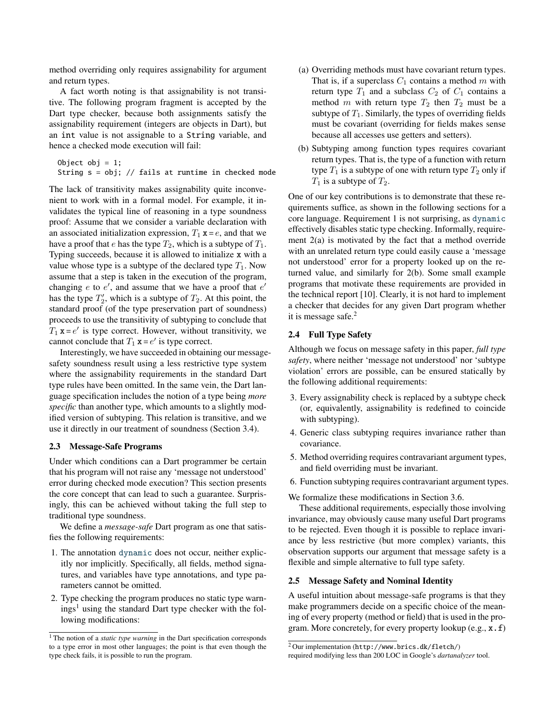method overriding only requires assignability for argument and return types.

A fact worth noting is that assignability is not transitive. The following program fragment is accepted by the Dart type checker, because both assignments satisfy the assignability requirement (integers are objects in Dart), but an int value is not assignable to a String variable, and hence a checked mode execution will fail:

```
Object obj = 1;
String s = obj; // fails at runtime in checked mode
```
The lack of transitivity makes assignability quite inconvenient to work with in a formal model. For example, it invalidates the typical line of reasoning in a type soundness proof: Assume that we consider a variable declaration with an associated initialization expression,  $T_1$  x = e, and that we have a proof that e has the type  $T_2$ , which is a subtype of  $T_1$ . Typing succeeds, because it is allowed to initialize x with a value whose type is a subtype of the declared type  $T_1$ . Now assume that a step is taken in the execution of the program, changing  $e$  to  $e'$ , and assume that we have a proof that  $e'$ has the type  $T_2'$ , which is a subtype of  $T_2$ . At this point, the standard proof (of the type preservation part of soundness) proceeds to use the transitivity of subtyping to conclude that  $T_1$  x =  $e'$  is type correct. However, without transitivity, we cannot conclude that  $T_1$  **x** =  $e'$  is type correct.

Interestingly, we have succeeded in obtaining our messagesafety soundness result using a less restrictive type system where the assignability requirements in the standard Dart type rules have been omitted. In the same vein, the Dart language specification includes the notion of a type being *more specific* than another type, which amounts to a slightly modified version of subtyping. This relation is transitive, and we use it directly in our treatment of soundness (Section 3.4).

#### 2.3 Message-Safe Programs

Under which conditions can a Dart programmer be certain that his program will not raise any 'message not understood' error during checked mode execution? This section presents the core concept that can lead to such a guarantee. Surprisingly, this can be achieved without taking the full step to traditional type soundness.

We define a *message-safe* Dart program as one that satisfies the following requirements:

- 1. The annotation dynamic does not occur, neither explicitly nor implicitly. Specifically, all fields, method signatures, and variables have type annotations, and type parameters cannot be omitted.
- 2. Type checking the program produces no static type warn $ings<sup>1</sup>$  using the standard Dart type checker with the following modifications:
- (a) Overriding methods must have covariant return types. That is, if a superclass  $C_1$  contains a method m with return type  $T_1$  and a subclass  $C_2$  of  $C_1$  contains a method m with return type  $T_2$  then  $T_2$  must be a subtype of  $T_1$ . Similarly, the types of overriding fields must be covariant (overriding for fields makes sense because all accesses use getters and setters).
- (b) Subtyping among function types requires covariant return types. That is, the type of a function with return type  $T_1$  is a subtype of one with return type  $T_2$  only if  $T_1$  is a subtype of  $T_2$ .

One of our key contributions is to demonstrate that these requirements suffice, as shown in the following sections for a core language. Requirement 1 is not surprising, as dynamic effectively disables static type checking. Informally, requirement  $2(a)$  is motivated by the fact that a method override with an unrelated return type could easily cause a 'message not understood' error for a property looked up on the returned value, and similarly for 2(b). Some small example programs that motivate these requirements are provided in the technical report [10]. Clearly, it is not hard to implement a checker that decides for any given Dart program whether it is message safe.<sup>2</sup>

# 2.4 Full Type Safety

Although we focus on message safety in this paper, *full type safety*, where neither 'message not understood' nor 'subtype violation' errors are possible, can be ensured statically by the following additional requirements:

- 3. Every assignability check is replaced by a subtype check (or, equivalently, assignability is redefined to coincide with subtyping).
- 4. Generic class subtyping requires invariance rather than covariance.
- 5. Method overriding requires contravariant argument types, and field overriding must be invariant.
- 6. Function subtyping requires contravariant argument types.

We formalize these modifications in Section 3.6.

These additional requirements, especially those involving invariance, may obviously cause many useful Dart programs to be rejected. Even though it is possible to replace invariance by less restrictive (but more complex) variants, this observation supports our argument that message safety is a flexible and simple alternative to full type safety.

#### 2.5 Message Safety and Nominal Identity

A useful intuition about message-safe programs is that they make programmers decide on a specific choice of the meaning of every property (method or field) that is used in the program. More concretely, for every property lookup (e.g., x.f)

<sup>&</sup>lt;sup>1</sup> The notion of a *static type warning* in the Dart specification corresponds to a type error in most other languages; the point is that even though the type check fails, it is possible to run the program.

 $2$ Our implementation (http://www.brics.dk/fletch/)

required modifying less than 200 LOC in Google's *dartanalyzer* tool.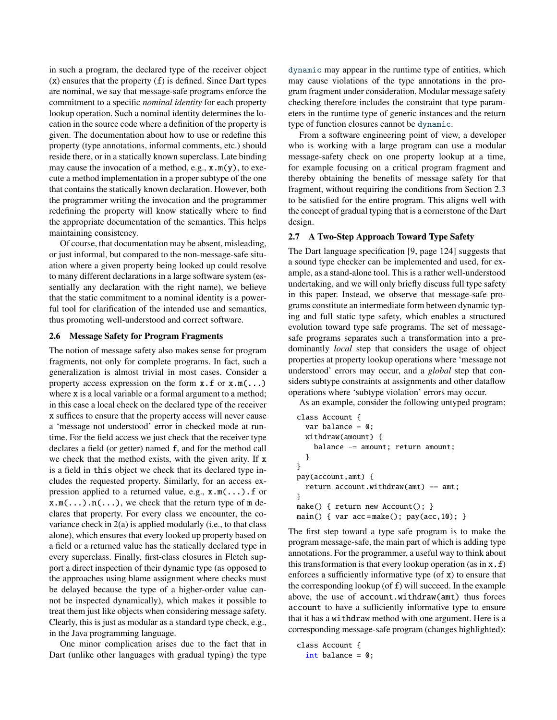in such a program, the declared type of the receiver object  $(x)$  ensures that the property  $(f)$  is defined. Since Dart types are nominal, we say that message-safe programs enforce the commitment to a specific *nominal identity* for each property lookup operation. Such a nominal identity determines the location in the source code where a definition of the property is given. The documentation about how to use or redefine this property (type annotations, informal comments, etc.) should reside there, or in a statically known superclass. Late binding may cause the invocation of a method, e.g.,  $x \cdot m(y)$ , to execute a method implementation in a proper subtype of the one that contains the statically known declaration. However, both the programmer writing the invocation and the programmer redefining the property will know statically where to find the appropriate documentation of the semantics. This helps maintaining consistency.

Of course, that documentation may be absent, misleading, or just informal, but compared to the non-message-safe situation where a given property being looked up could resolve to many different declarations in a large software system (essentially any declaration with the right name), we believe that the static commitment to a nominal identity is a powerful tool for clarification of the intended use and semantics, thus promoting well-understood and correct software.

#### 2.6 Message Safety for Program Fragments

The notion of message safety also makes sense for program fragments, not only for complete programs. In fact, such a generalization is almost trivial in most cases. Consider a property access expression on the form  $x.f$  or  $x.m(...)$ where x is a local variable or a formal argument to a method; in this case a local check on the declared type of the receiver x suffices to ensure that the property access will never cause a 'message not understood' error in checked mode at runtime. For the field access we just check that the receiver type declares a field (or getter) named f, and for the method call we check that the method exists, with the given arity. If x is a field in this object we check that its declared type includes the requested property. Similarly, for an access expression applied to a returned value, e.g.,  $x.m(...)$ . f or  $x.m($ ...).n(...), we check that the return type of m declares that property. For every class we encounter, the covariance check in 2(a) is applied modularly (i.e., to that class alone), which ensures that every looked up property based on a field or a returned value has the statically declared type in every superclass. Finally, first-class closures in Fletch support a direct inspection of their dynamic type (as opposed to the approaches using blame assignment where checks must be delayed because the type of a higher-order value cannot be inspected dynamically), which makes it possible to treat them just like objects when considering message safety. Clearly, this is just as modular as a standard type check, e.g., in the Java programming language.

One minor complication arises due to the fact that in Dart (unlike other languages with gradual typing) the type

dynamic may appear in the runtime type of entities, which may cause violations of the type annotations in the program fragment under consideration. Modular message safety checking therefore includes the constraint that type parameters in the runtime type of generic instances and the return type of function closures cannot be dynamic.

From a software engineering point of view, a developer who is working with a large program can use a modular message-safety check on one property lookup at a time, for example focusing on a critical program fragment and thereby obtaining the benefits of message safety for that fragment, without requiring the conditions from Section 2.3 to be satisfied for the entire program. This aligns well with the concept of gradual typing that is a cornerstone of the Dart design.

#### 2.7 A Two-Step Approach Toward Type Safety

The Dart language specification [9, page 124] suggests that a sound type checker can be implemented and used, for example, as a stand-alone tool. This is a rather well-understood undertaking, and we will only briefly discuss full type safety in this paper. Instead, we observe that message-safe programs constitute an intermediate form between dynamic typing and full static type safety, which enables a structured evolution toward type safe programs. The set of messagesafe programs separates such a transformation into a predominantly *local* step that considers the usage of object properties at property lookup operations where 'message not understood' errors may occur, and a *global* step that considers subtype constraints at assignments and other dataflow operations where 'subtype violation' errors may occur.

As an example, consider the following untyped program:

```
class Account {
  var balance = 0:
  withdraw(amount) {
    balance -= amount; return amount;
 }
}
pay(account,amt) {
 return account.withdraw(amt) == amt;
}
make() { return new Account(); }
main() { var acc = make(); pay(acc, 10); }
```
The first step toward a type safe program is to make the program message-safe, the main part of which is adding type annotations. For the programmer, a useful way to think about this transformation is that every lookup operation (as in  $x \cdot f$ ) enforces a sufficiently informative type (of x) to ensure that the corresponding lookup (of f) will succeed. In the example above, the use of account.withdraw(amt) thus forces account to have a sufficiently informative type to ensure that it has a withdraw method with one argument. Here is a corresponding message-safe program (changes highlighted):

```
class Account {
  int balance = 0;
```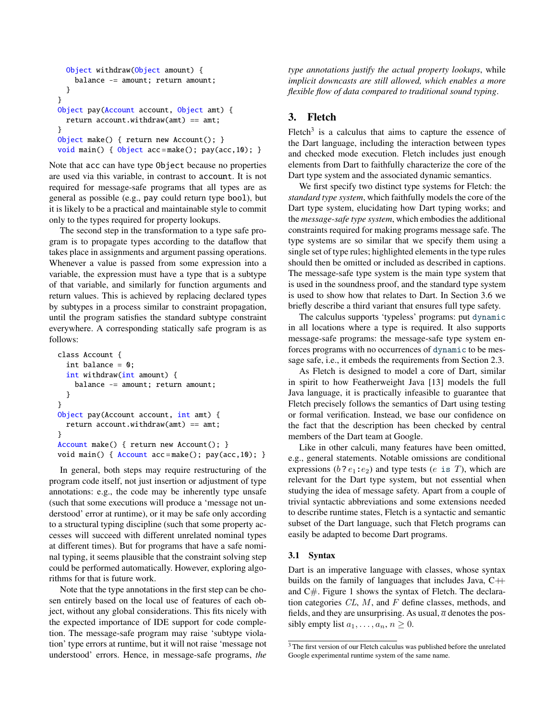```
Object withdraw(Object amount) {
    balance -= amount; return amount;
  }
}
Object pay(Account account, Object amt) {
  return account.withdraw(amt) == amt;}
Object make() { return new Account(); }
void main() { Object acc=make(); pay(acc,10); }
```
Note that acc can have type Object because no properties are used via this variable, in contrast to account. It is not required for message-safe programs that all types are as general as possible (e.g., pay could return type bool), but it is likely to be a practical and maintainable style to commit only to the types required for property lookups.

The second step in the transformation to a type safe program is to propagate types according to the dataflow that takes place in assignments and argument passing operations. Whenever a value is passed from some expression into a variable, the expression must have a type that is a subtype of that variable, and similarly for function arguments and return values. This is achieved by replacing declared types by subtypes in a process similar to constraint propagation, until the program satisfies the standard subtype constraint everywhere. A corresponding statically safe program is as follows:

```
class Account {
  int balance = 0;
  int withdraw(int amount) {
    balance -= amount; return amount;
  }
}
Object pay(Account account, int amt) {
  return account.withdraw(amt) == amt;}
Account make() { return new Account(); }
void main() { Account acc = make(); pay(acc, 10); }
```
In general, both steps may require restructuring of the program code itself, not just insertion or adjustment of type annotations: e.g., the code may be inherently type unsafe (such that some executions will produce a 'message not understood' error at runtime), or it may be safe only according to a structural typing discipline (such that some property accesses will succeed with different unrelated nominal types at different times). But for programs that have a safe nominal typing, it seems plausible that the constraint solving step could be performed automatically. However, exploring algorithms for that is future work.

Note that the type annotations in the first step can be chosen entirely based on the local use of features of each object, without any global considerations. This fits nicely with the expected importance of IDE support for code completion. The message-safe program may raise 'subtype violation' type errors at runtime, but it will not raise 'message not understood' errors. Hence, in message-safe programs, *the* *type annotations justify the actual property lookups*, while *implicit downcasts are still allowed, which enables a more flexible flow of data compared to traditional sound typing*.

# 3. Fletch

Fletch<sup>3</sup> is a calculus that aims to capture the essence of the Dart language, including the interaction between types and checked mode execution. Fletch includes just enough elements from Dart to faithfully characterize the core of the Dart type system and the associated dynamic semantics.

We first specify two distinct type systems for Fletch: the *standard type system*, which faithfully models the core of the Dart type system, elucidating how Dart typing works; and the *message-safe type system*, which embodies the additional constraints required for making programs message safe. The type systems are so similar that we specify them using a single set of type rules; highlighted elements in the type rules should then be omitted or included as described in captions. The message-safe type system is the main type system that is used in the soundness proof, and the standard type system is used to show how that relates to Dart. In Section 3.6 we briefly describe a third variant that ensures full type safety.

The calculus supports 'typeless' programs: put dynamic in all locations where a type is required. It also supports message-safe programs: the message-safe type system enforces programs with no occurrences of dynamic to be message safe, i.e., it embeds the requirements from Section 2.3.

As Fletch is designed to model a core of Dart, similar in spirit to how Featherweight Java [13] models the full Java language, it is practically infeasible to guarantee that Fletch precisely follows the semantics of Dart using testing or formal verification. Instead, we base our confidence on the fact that the description has been checked by central members of the Dart team at Google.

Like in other calculi, many features have been omitted, e.g., general statements. Notable omissions are conditional expressions ( $b$ ?  $e_1$ : $e_2$ ) and type tests ( $e$  is T), which are relevant for the Dart type system, but not essential when studying the idea of message safety. Apart from a couple of trivial syntactic abbreviations and some extensions needed to describe runtime states, Fletch is a syntactic and semantic subset of the Dart language, such that Fletch programs can easily be adapted to become Dart programs.

#### 3.1 Syntax

Dart is an imperative language with classes, whose syntax builds on the family of languages that includes Java, C++ and C#. Figure 1 shows the syntax of Fletch. The declaration categories CL, M, and F define classes, methods, and fields, and they are unsurprising. As usual,  $\overline{a}$  denotes the possibly empty list  $a_1, \ldots, a_n, n \geq 0$ .

<sup>3</sup> The first version of our Fletch calculus was published before the unrelated Google experimental runtime system of the same name.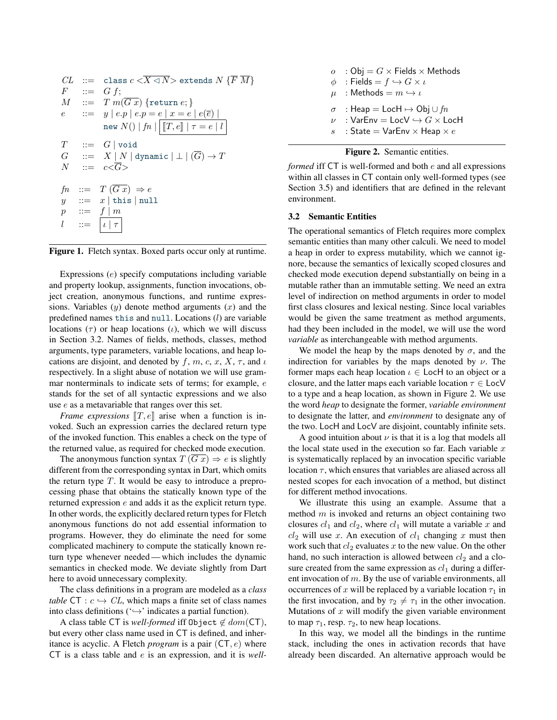$$
CL ::= \text{class } c < X \triangleleft N > \text{ extends } N \{F \mid N\}
$$
\n
$$
F ::= G \mid f;
$$
\n
$$
M ::= T \mid m(\overline{G} \mid x) \{ \text{return } e \}
$$
\n
$$
e ::= y \mid e \mid p \mid e \mid p = e \mid x = e \mid e(\overline{e}) \mid
$$
\n
$$
\text{new } N() \mid \text{fn } \mid \boxed{[T, e] \mid \tau = e \mid l}
$$
\n
$$
T ::= G \mid \text{void}
$$
\n
$$
G ::= X \mid N \mid \text{dynamic } \mid \bot \mid (\overline{G}) \to T
$$
\n
$$
N ::= C < \overline{G} >
$$
\n
$$
\text{fn} ::= T (\overline{G} \mid x) \Rightarrow e
$$
\n
$$
y ::= x \mid \text{this } \mid \text{null}
$$
\n
$$
p ::= \frac{f \mid m}{l \mid x \mid \text{min}}
$$

Figure 1. Fletch syntax. Boxed parts occur only at runtime.

Expressions (e) specify computations including variable and property lookup, assignments, function invocations, object creation, anonymous functions, and runtime expressions. Variables  $(y)$  denote method arguments  $(x)$  and the predefined names this and null. Locations  $(l)$  are variable locations (τ) or heap locations (*ι*), which we will discuss in Section 3.2. Names of fields, methods, classes, method arguments, type parameters, variable locations, and heap locations are disjoint, and denoted by f, m, c, x, X,  $\tau$ , and  $\iota$ respectively. In a slight abuse of notation we will use grammar nonterminals to indicate sets of terms; for example, e stands for the set of all syntactic expressions and we also use e as a metavariable that ranges over this set.

*Frame expressions*  $[T, e]$  arise when a function is invoked. Such an expression carries the declared return type of the invoked function. This enables a check on the type of the returned value, as required for checked mode execution.

The anonymous function syntax  $T(\overline{G \, x}) \Rightarrow e$  is slightly different from the corresponding syntax in Dart, which omits the return type  $T$ . It would be easy to introduce a preprocessing phase that obtains the statically known type of the returned expression e and adds it as the explicit return type. In other words, the explicitly declared return types for Fletch anonymous functions do not add essential information to programs. However, they do eliminate the need for some complicated machinery to compute the statically known return type whenever needed — which includes the dynamic semantics in checked mode. We deviate slightly from Dart here to avoid unnecessary complexity.

The class definitions in a program are modeled as a *class table*  $CT: c \hookrightarrow CL$ , which maps a finite set of class names into class definitions ( $\leftrightarrow$ ' indicates a partial function).

A class table CT is *well-formed* iff  $\Phi$  object  $\notin dom(CT)$ , but every other class name used in CT is defined, and inheritance is acyclic. A Fletch *program* is a pair (CT, e) where CT is a class table and e is an expression, and it is *well-*  $o$  : Obj =  $G \times$  Fields  $\times$  Methods  $\phi$  : Fields =  $f \hookrightarrow G \times \iota$  $\mu$  : Methods =  $m \hookrightarrow \iota$  $\sigma$  : Heap = LocH  $\mapsto$  Obj  $\cup$  fn  $\nu$  : VarEnv = LocV  $\hookrightarrow G\times$  LocH s : State = VarEnv  $\times$  Heap  $\times e$ 



*formed* iff CT is well-formed and both e and all expressions within all classes in CT contain only well-formed types (see Section 3.5) and identifiers that are defined in the relevant environment.

#### 3.2 Semantic Entities

The operational semantics of Fletch requires more complex semantic entities than many other calculi. We need to model a heap in order to express mutability, which we cannot ignore, because the semantics of lexically scoped closures and checked mode execution depend substantially on being in a mutable rather than an immutable setting. We need an extra level of indirection on method arguments in order to model first class closures and lexical nesting. Since local variables would be given the same treatment as method arguments, had they been included in the model, we will use the word *variable* as interchangeable with method arguments.

We model the heap by the maps denoted by  $\sigma$ , and the indirection for variables by the maps denoted by  $\nu$ . The former maps each heap location  $\iota \in$  LocH to an object or a closure, and the latter maps each variable location  $\tau \in \text{LocV}$ to a type and a heap location, as shown in Figure 2. We use the word *heap* to designate the former, *variable environment* to designate the latter, and *environment* to designate any of the two. LocH and LocV are disjoint, countably infinite sets.

A good intuition about  $\nu$  is that it is a log that models all the local state used in the execution so far. Each variable  $x$ is systematically replaced by an invocation specific variable location  $\tau$ , which ensures that variables are aliased across all nested scopes for each invocation of a method, but distinct for different method invocations.

We illustrate this using an example. Assume that a method  $m$  is invoked and returns an object containing two closures  $cl_1$  and  $cl_2$ , where  $cl_1$  will mutate a variable x and  $cl_2$  will use x. An execution of  $cl_1$  changing x must then work such that  $cl_2$  evaluates x to the new value. On the other hand, no such interaction is allowed between  $cl_2$  and a closure created from the same expression as  $cl_1$  during a different invocation of m. By the use of variable environments, all occurrences of x will be replaced by a variable location  $\tau_1$  in the first invocation, and by  $\tau_2 \neq \tau_1$  in the other invocation. Mutations of  $x$  will modify the given variable environment to map  $\tau_1$ , resp.  $\tau_2$ , to new heap locations.

In this way, we model all the bindings in the runtime stack, including the ones in activation records that have already been discarded. An alternative approach would be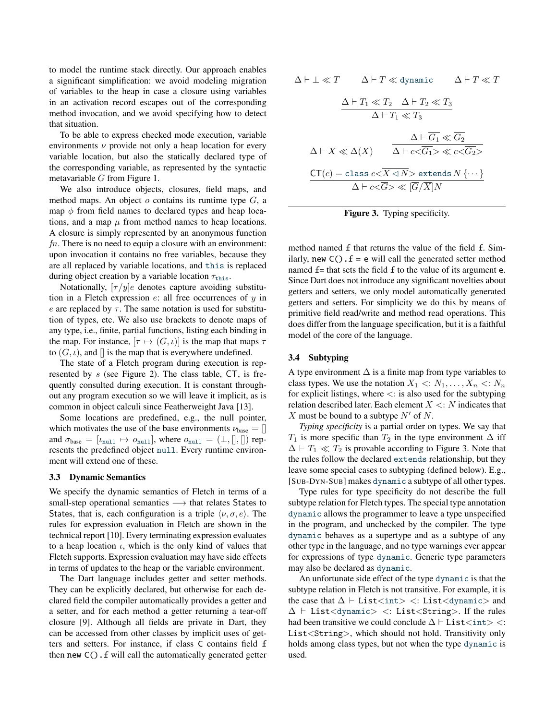to model the runtime stack directly. Our approach enables a significant simplification: we avoid modeling migration of variables to the heap in case a closure using variables in an activation record escapes out of the corresponding method invocation, and we avoid specifying how to detect that situation.

To be able to express checked mode execution, variable environments  $\nu$  provide not only a heap location for every variable location, but also the statically declared type of the corresponding variable, as represented by the syntactic metavariable G from Figure 1.

We also introduce objects, closures, field maps, and method maps. An object  $o$  contains its runtime type  $G$ , a map  $\phi$  from field names to declared types and heap locations, and a map  $\mu$  from method names to heap locations. A closure is simply represented by an anonymous function  $fn$ . There is no need to equip a closure with an environment: upon invocation it contains no free variables, because they are all replaced by variable locations, and this is replaced during object creation by a variable location  $\tau_{\text{this}}$ .

Notationally,  $[\tau/y]e$  denotes capture avoiding substitution in a Fletch expression  $e$ : all free occurrences of  $y$  in e are replaced by  $\tau$ . The same notation is used for substitution of types, etc. We also use brackets to denote maps of any type, i.e., finite, partial functions, listing each binding in the map. For instance,  $[\tau \mapsto (G, \iota)]$  is the map that maps  $\tau$ to  $(G, \iota)$ , and  $\parallel$  is the map that is everywhere undefined.

The state of a Fletch program during execution is represented by s (see Figure 2). The class table, CT, is frequently consulted during execution. It is constant throughout any program execution so we will leave it implicit, as is common in object calculi since Featherweight Java [13].

Some locations are predefined, e.g., the null pointer, which motivates the use of the base environments  $\nu_{base} = []$ and  $\sigma_{base} = [\iota_{null} \mapsto o_{null}]$ , where  $o_{null} = (\perp, [], []$  represents the predefined object null. Every runtime environment will extend one of these.

#### 3.3 Dynamic Semantics

We specify the dynamic semantics of Fletch in terms of a small-step operational semantics  $\longrightarrow$  that relates States to States, that is, each configuration is a triple  $\langle \nu, \sigma, e \rangle$ . The rules for expression evaluation in Fletch are shown in the technical report [10]. Every terminating expression evaluates to a heap location  $\iota$ , which is the only kind of values that Fletch supports. Expression evaluation may have side effects in terms of updates to the heap or the variable environment.

The Dart language includes getter and setter methods. They can be explicitly declared, but otherwise for each declared field the compiler automatically provides a getter and a setter, and for each method a getter returning a tear-off closure [9]. Although all fields are private in Dart, they can be accessed from other classes by implicit uses of getters and setters. For instance, if class C contains field f then new C().f will call the automatically generated getter

$$
\Delta \vdash \bot \ll T \qquad \Delta \vdash T \ll \text{dynamic} \qquad \Delta \vdash T \ll T
$$
\n
$$
\frac{\Delta \vdash T_1 \ll T_2 \quad \Delta \vdash T_2 \ll T_3}{\Delta \vdash T_1 \ll T_3}
$$
\n
$$
\frac{\Delta \vdash \overline{G_1} \ll \overline{G_2}}{\Delta \vdash X \ll \Delta(X) \qquad \overline{\Delta \vdash c \ll \overline{G_1} \ll c \ll \overline{G_2}}}
$$
\n
$$
\frac{\text{CT}(c) = \text{class } c \ll \overline{X \ll N>} \text{ extends } N \{ \cdots \}}{\Delta \vdash c \ll \overline{G} > \ll \overline{[G/\overline{X}]N}}
$$



method named f that returns the value of the field f. Similarly, new  $C()$ .  $f = e$  will call the generated setter method named  $f$  = that sets the field  $f$  to the value of its argument e. Since Dart does not introduce any significant novelties about getters and setters, we only model automatically generated getters and setters. For simplicity we do this by means of primitive field read/write and method read operations. This does differ from the language specification, but it is a faithful model of the core of the language.

#### 3.4 Subtyping

A type environment  $\Delta$  is a finite map from type variables to class types. We use the notation  $X_1 \leq N_1, \ldots, X_n \leq N_n$ for explicit listings, where  $\lt$ : is also used for the subtyping relation described later. Each element  $X \leq N$  indicates that X must be bound to a subtype  $N'$  of N.

*Typing specificity* is a partial order on types. We say that  $T_1$  is more specific than  $T_2$  in the type environment  $\Delta$  iff  $\Delta \vdash T_1 \ll T_2$  is provable according to Figure 3. Note that the rules follow the declared extends relationship, but they leave some special cases to subtyping (defined below). E.g., [SUB-DYN-SUB] makes dynamic a subtype of all other types.

Type rules for type specificity do not describe the full subtype relation for Fletch types. The special type annotation dynamic allows the programmer to leave a type unspecified in the program, and unchecked by the compiler. The type dynamic behaves as a supertype and as a subtype of any other type in the language, and no type warnings ever appear for expressions of type dynamic. Generic type parameters may also be declared as dynamic.

An unfortunate side effect of the type dynamic is that the subtype relation in Fletch is not transitive. For example, it is the case that  $\Delta \vdash List\cdot$ : List<dynamic> and  $\Delta \vdash$  List<dynamic> <: List<String>. If the rules had been transitive we could conclude  $\Delta \vdash \texttt{List}\texttt{} \texttt{<}:$ List<String>, which should not hold. Transitivity only holds among class types, but not when the type dynamic is used.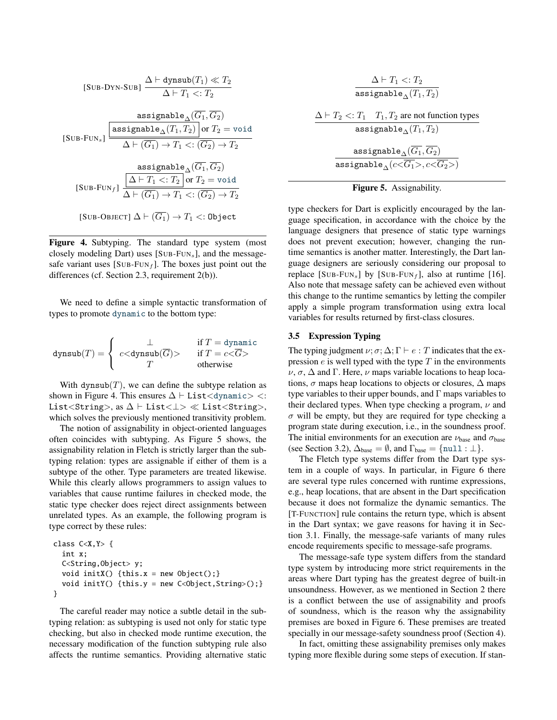$$
\begin{aligned} \text{[SUB-DYN-SUB]} &\xrightarrow{\Delta \vdash \text{dynsub}(T_1) \ll T_2} \\ &\xrightarrow{\Delta \vdash T_1 <: T_2} \\ \text{assignable}_{\Delta}(\overline{G_1}, \overline{G_2}) \\ \text{[SUB-FUN}_s] &\xrightarrow{\text{assignable}_{\Delta}(T_1, T_2)} \text{or } T_2 = \text{void} \\ &\xrightarrow{\Delta \vdash (\overline{G_1}) \rightarrow T_1 <: (\overline{G_2}) \rightarrow T_2} \\ &\xrightarrow{\text{assignable}_{\Delta}(\overline{G_1}, \overline{G_2})} \\ \text{[SUB-FUN}_f] &\xrightarrow{\Delta \vdash T_1 <: T_2} \text{or } T_2 = \text{void} \\ \text{[SUB-FUN}_f] &\xrightarrow{\Delta \vdash (\overline{G_1}) \rightarrow T_1 <: (\overline{G_2}) \rightarrow T_2} \\ \text{[SUB-OBIECT]} &\xrightarrow{\Delta \vdash (\overline{G_1}) \rightarrow T_1 <: \text{Object}} \end{aligned}
$$

Figure 4. Subtyping. The standard type system (most closely modeling Dart) uses [SUB-FUNs], and the messagesafe variant uses [SUB-FUN $_f$ ]. The boxes just point out the differences (cf. Section 2.3, requirement 2(b)).

We need to define a simple syntactic transformation of types to promote dynamic to the bottom type:

$$
\mathtt{dynsub}(T) = \left\{ \begin{array}{cl} \bot & \text{if } T = \mathtt{dynamic} \\ c {<} \mathtt{dynsub}(\overline{G}) {>} & \text{if } T = c {<} \overline{G} {>} \\ T & \text{otherwise} \end{array} \right.
$$

With dynsub $(T)$ , we can define the subtype relation as shown in Figure 4. This ensures  $\Delta \vdash$  List  $\langle$  dynamic $\rangle$   $\langle$ : List<String>, as  $\Delta \vdash$  List< $\perp$ >  $\ll$  List<String>, which solves the previously mentioned transitivity problem.

The notion of assignability in object-oriented languages often coincides with subtyping. As Figure 5 shows, the assignability relation in Fletch is strictly larger than the subtyping relation: types are assignable if either of them is a subtype of the other. Type parameters are treated likewise. While this clearly allows programmers to assign values to variables that cause runtime failures in checked mode, the static type checker does reject direct assignments between unrelated types. As an example, the following program is type correct by these rules:

```
class C<X,Y> {
  int x;
  C<String,Object> y;
  void initX() {this.x = new Object();}
  void initY() {this.y = new C < 0bject, String>(); }
}
```
The careful reader may notice a subtle detail in the subtyping relation: as subtyping is used not only for static type checking, but also in checked mode runtime execution, the necessary modification of the function subtyping rule also affects the runtime semantics. Providing alternative static

$$
\frac{\Delta \vdash T_1 \mathrel{<:} T_2}{\text{assignable}_{\Delta}(T_1, T_2)} \\\\ \frac{\Delta \vdash T_2 \mathrel{<:} T_1 \quad T_1, T_2 \text{ are not function types}}{\text{assignable}_{\Delta}(T_1, T_2)} \\\\ \frac{\text{assignable}_{\Delta}(G_1, G_2)}{\text{assignable}_{\Delta}(c \mathrel{<} \overline{G_1} \mathrel{>}, c \mathrel{<} \overline{G_2} \mathrel{>})}
$$



type checkers for Dart is explicitly encouraged by the language specification, in accordance with the choice by the language designers that presence of static type warnings does not prevent execution; however, changing the runtime semantics is another matter. Interestingly, the Dart language designers are seriously considering our proposal to replace [SUB-FUN<sub>s</sub>] by [SUB-FUN<sub>f</sub>], also at runtime [16]. Also note that message safety can be achieved even without this change to the runtime semantics by letting the compiler apply a simple program transformation using extra local variables for results returned by first-class closures.

#### 3.5 Expression Typing

The typing judgment  $\nu; \sigma; \Delta; \Gamma \vdash e : T$  indicates that the expression  $e$  is well typed with the type  $T$  in the environments  $\nu$ ,  $\sigma$ ,  $\Delta$  and  $\Gamma$ . Here,  $\nu$  maps variable locations to heap locations,  $\sigma$  maps heap locations to objects or closures,  $\Delta$  maps type variables to their upper bounds, and  $\Gamma$  maps variables to their declared types. When type checking a program,  $\nu$  and  $\sigma$  will be empty, but they are required for type checking a program state during execution, i.e., in the soundness proof. The initial environments for an execution are  $\nu_{base}$  and  $\sigma_{base}$ (see Section 3.2),  $\Delta_{base} = \emptyset$ , and  $\Gamma_{base} = \{\text{null} : \bot\}.$ 

The Fletch type systems differ from the Dart type system in a couple of ways. In particular, in Figure 6 there are several type rules concerned with runtime expressions, e.g., heap locations, that are absent in the Dart specification because it does not formalize the dynamic semantics. The [T-FUNCTION] rule contains the return type, which is absent in the Dart syntax; we gave reasons for having it in Section 3.1. Finally, the message-safe variants of many rules encode requirements specific to message-safe programs.

The message-safe type system differs from the standard type system by introducing more strict requirements in the areas where Dart typing has the greatest degree of built-in unsoundness. However, as we mentioned in Section 2 there is a conflict between the use of assignability and proofs of soundness, which is the reason why the assignability premises are boxed in Figure 6. These premises are treated specially in our message-safety soundness proof (Section 4).

In fact, omitting these assignability premises only makes typing more flexible during some steps of execution. If stan-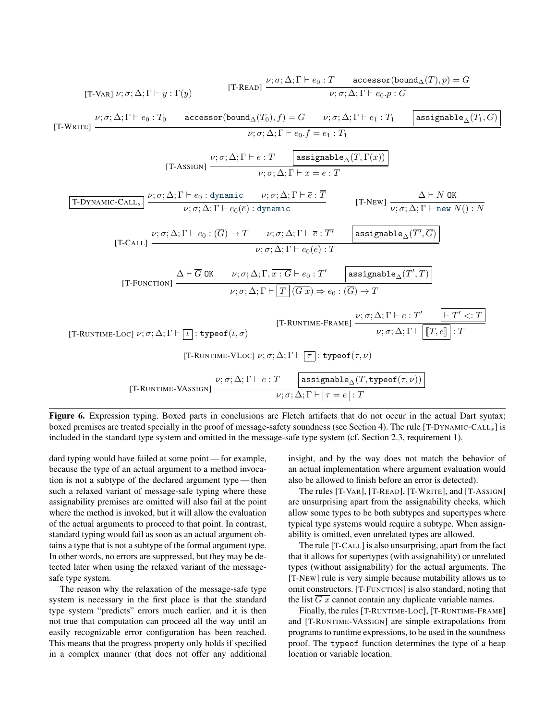[T-VAR] 
$$
\nu; \sigma; \Delta; \Gamma \vdash y : \Gamma(y)
$$
 [T-READ]  $\frac{\nu; \sigma; \Delta; \Gamma \vdash e_0 : T \text{ accessor}(bound_{\Delta}(T), p) = G}{\nu; \sigma; \Delta; \Gamma \vdash e_0 : T}$   $\nu; \sigma; \Delta; \Gamma \vdash e_0 : T$   $\frac{\nu; \sigma; \Delta; \Gamma \vdash e_0 : T}{\nu; \sigma; \Delta; \Gamma \vdash e_1 : T_1}$  [T-WRITE]  $\frac{\nu; \sigma; \Delta; \Gamma \vdash e_0 : T}{\nu; \sigma; \Delta; \Gamma \vdash e_0 : f} = e_1 : T_1$   
\n[ (T-ASSION]  $\frac{\nu; \sigma; \Delta; \Gamma \vdash e : T \text{ assignable}_{\Delta}(T, \Gamma(x))}{\nu; \sigma; \Delta; \Gamma \vdash x = e : T}$   $\frac{\text{assignable}_{\Delta}(T, \Gamma(x))}{\nu; \sigma; \Delta; \Gamma \vdash e_0 : \text{dynamic } \nu; \sigma; \Delta; \Gamma \vdash \overline{e} : \overline{T}}$  [T-NEW]  $\frac{\Delta \vdash N \text{ OK}}{\nu; \sigma; \Delta; \Gamma \vdash e_0 \nu; \Delta; \Gamma \vdash e_0 \overline{e} : \text{dynamic } \nu; \sigma; \Delta; \Gamma \vdash e_0 \overline{e} : \overline{T}$   $\frac{\Delta \vdash N \text{ OK}}{\nu; \sigma; \Delta; \Gamma \vdash e_0 \nu; \Delta; \Gamma \vdash e_0 \overline{e} : T}$  [T-NEW]  $\frac{\Delta \vdash N \text{ OK}}{\nu; \sigma; \Delta; \Gamma \vdash e_0 \overline{e} : T}$   $\frac{\text{assignable}_{\Delta}(\overline{T'}, \overline{G})}{\nu; \sigma; \Delta; \Gamma \vdash e_0 \overline{e} : T}$   $\frac{\text{assignable}_{\Delta}(\overline{T'}, \overline{G})}{\nu; \sigma; \Delta; \Gamma \vdash \overline{e} : \overline{G} \vdash e_0 : T}$   $\frac{\text{Assignable}_{\Delta}(T', T)}{\nu; \sigma; \Delta; \Gamma \vdash \overline{e} : \overline{T} \text{ (Gx)} \Rightarrow e_0 : (\overline{G}) \rightarrow T}$  [T-RUNTIME-

Figure 6. Expression typing. Boxed parts in conclusions are Fletch artifacts that do not occur in the actual Dart syntax; boxed premises are treated specially in the proof of message-safety soundness (see Section 4). The rule [T-DYNAMIC-CALLs] is included in the standard type system and omitted in the message-safe type system (cf. Section 2.3, requirement 1).

dard typing would have failed at some point — for example, because the type of an actual argument to a method invocation is not a subtype of the declared argument type— then such a relaxed variant of message-safe typing where these assignability premises are omitted will also fail at the point where the method is invoked, but it will allow the evaluation of the actual arguments to proceed to that point. In contrast, standard typing would fail as soon as an actual argument obtains a type that is not a subtype of the formal argument type. In other words, no errors are suppressed, but they may be detected later when using the relaxed variant of the messagesafe type system.

The reason why the relaxation of the message-safe type system is necessary in the first place is that the standard type system "predicts" errors much earlier, and it is then not true that computation can proceed all the way until an easily recognizable error configuration has been reached. This means that the progress property only holds if specified in a complex manner (that does not offer any additional

insight, and by the way does not match the behavior of an actual implementation where argument evaluation would also be allowed to finish before an error is detected).

The rules [T-VAR], [T-READ], [T-WRITE], and [T-ASSIGN] are unsurprising apart from the assignability checks, which allow some types to be both subtypes and supertypes where typical type systems would require a subtype. When assignability is omitted, even unrelated types are allowed.

The rule [T-CALL] is also unsurprising, apart from the fact that it allows for supertypes (with assignability) or unrelated types (without assignability) for the actual arguments. The [T-NEW] rule is very simple because mutability allows us to omit constructors. [T-FUNCTION] is also standard, noting that the list  $\overline{Gx}$  cannot contain any duplicate variable names.

Finally, the rules [T-RUNTIME-LOC], [T-RUNTIME-FRAME] and [T-RUNTIME-VASSIGN] are simple extrapolations from programs to runtime expressions, to be used in the soundness proof. The typeof function determines the type of a heap location or variable location.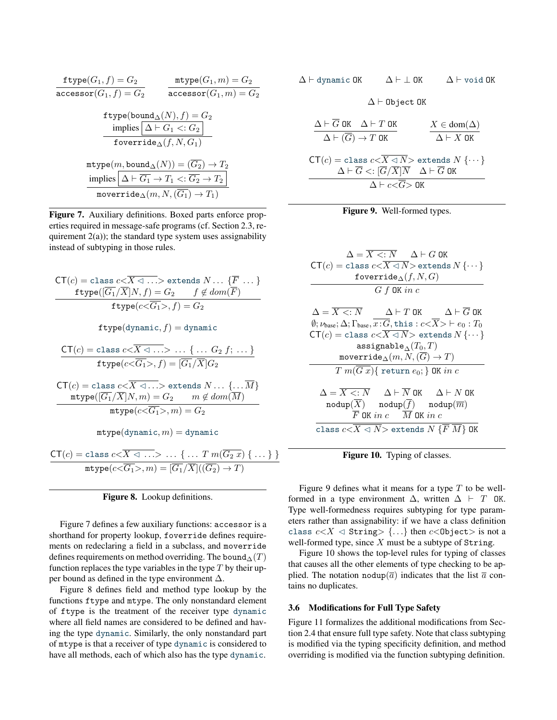$$
\begin{array}{ll} \texttt{ftype}(G_1,f)=G_2 & \texttt{mtype}(G_1,m)=G_2 \\ \texttt{accessor}(G_1,f)=G_2 & \texttt{accessor}(G_1,m)=G_2 \\ & \texttt{ftype}(\texttt{bound}_{\Delta}(N),f)=G_2 \\ & \texttt{implies} \boxed{\Delta\vdash G_1<:G_2} \\ & \texttt{foverride}_{\Delta}(f,N,G_1) \\ & \texttt{mtype}(m,\texttt{bound}_{\Delta}(N))=(\overline{G_2})\rightarrow T_2 \\ & \texttt{implies} \boxed{\Delta\vdash \overline{G_1}\rightarrow T_1<:\overline{G_2}\rightarrow T_2} \\ & \texttt{moveride}_{\Delta}(m,N,(\overline{G_1})\rightarrow T_1) \end{array}
$$

Figure 7. Auxiliary definitions. Boxed parts enforce properties required in message-safe programs (cf. Section 2.3, requirement  $2(a)$ ; the standard type system uses assignability instead of subtyping in those rules.

$$
CT(c) = \text{class } c < \overline{X \lhd \ldots} > \text{extends } N \ldots \{ \overline{F} \ldots \}
$$
\n
$$
\text{type}([\overline{G_1}/\overline{X}]N, f) = G_2 \qquad f \notin dom(\overline{F})
$$
\n
$$
\text{type}(c < \overline{G_1} > f) = G_2
$$
\n
$$
\text{type}(\text{dynamic}, f) = \text{dynamic}
$$
\n
$$
\text{CT}(c) = \text{class } c < \overline{X \lhd \ldots} > \ldots \{ \ldots G_2 f; \ldots \}
$$
\n
$$
\text{type}(c < \overline{G_1} > f) = [\overline{G_1}/\overline{X}]G_2
$$
\n
$$
\text{CT}(c) = \text{class } c < \overline{X \lhd \ldots} > \text{extends } N \ldots \{ \ldots \overline{M} \}
$$
\n
$$
\text{mtype}([\overline{G_1}/\overline{X}]N, m) = G_2 \qquad m \notin dom(\overline{M})
$$
\n
$$
\text{mtype}(c < \overline{G_1} > m) = G_2
$$
\n
$$
\text{mtype}(\text{dynamic}, m) = \text{dynamic}
$$
\n
$$
\text{CT}(c) = \text{class } c < \overline{X \lhd \ldots} > \qquad f \quad T \quad (\overline{G \lhd \ldots} \lhd \ldots)
$$

$$
\frac{\mathsf{CT}(c) = \text{class } c < X \triangleleft \dots > \dots \{ \dots T \ m(G_2 \ x) \{ \dots \} \}}{\text{mtype}(c < \overline{G_1} > m) = [\overline{G_1}/X]((\overline{G_2}) \to T)}
$$

#### Figure 8. Lookup definitions.

Figure 7 defines a few auxiliary functions: accessor is a shorthand for property lookup, foverride defines requirements on redeclaring a field in a subclass, and moverride defines requirements on method overriding. The bound $\Delta(T)$ function replaces the type variables in the type  $T$  by their upper bound as defined in the type environment  $\Delta$ .

Figure 8 defines field and method type lookup by the functions ftype and mtype. The only nonstandard element of ftype is the treatment of the receiver type dynamic where all field names are considered to be defined and having the type dynamic. Similarly, the only nonstandard part of mtype is that a receiver of type dynamic is considered to have all methods, each of which also has the type dynamic.

$$
\Delta \vdash \text{dynamic OK} \qquad \Delta \vdash \bot \text{ OK} \qquad \Delta \vdash \text{void OK}
$$
\n
$$
\Delta \vdash \text{Object OK} \qquad \Delta \vdash \text{void OK}
$$
\n
$$
\frac{\Delta \vdash \overline{G} \text{ OK} \quad \Delta \vdash T \text{ OK}}{\Delta \vdash (\overline{G}) \to T \text{ OK}} \qquad \frac{X \in \text{dom}(\Delta)}{\Delta \vdash X \text{ OK}}
$$
\n
$$
\text{CT}(c) = \text{class } c < \overline{X \lhd N} > \text{extends } N \{ \cdots \}
$$
\n
$$
\Delta \vdash \overline{G} <: [\overline{G}/\overline{X}] \overline{N} \quad \Delta \vdash \overline{G} \text{ OK}
$$



$$
\Delta = \overline{X \leq N} \quad \Delta \vdash G \text{ OK}
$$
\n
$$
\text{CT}(c) = \text{class } c \leq \overline{X} \leq N > \text{extends } N \{ \cdots \}
$$
\n
$$
\text{foverride}_{\Delta}(f, N, G)
$$
\n
$$
G f \text{ OK } in \ c
$$

$$
\Delta = X \leq N \qquad \Delta \vdash T \text{ OK} \qquad \Delta \vdash \overline{G} \text{ OK}
$$
\n
$$
\emptyset; \nu_{\text{base}}; \Delta; \Gamma_{\text{base}}, \overline{x:G}, \text{this}: c < \overline{X} > \vdash e_0 : T_0
$$
\n
$$
\text{CT}(c) = \text{class } c < \overline{X} \lhd \overline{N} > \text{ extends } N \{ \cdots \}
$$
\n
$$
\text{assignable}_{\Delta}(T_0, T)
$$
\n
$$
\text{moreride}_{\Delta}(m, N, (\overline{G}) \to T)
$$
\n
$$
\overline{T} \ m(\overline{G} \ x) \{ \text{ return } e_0; \} \text{ OK } \text{ in } c
$$
\n
$$
\Delta = \overline{X} \leq: \overline{N} \qquad \Delta \vdash \overline{N} \text{ OK} \qquad \Delta \vdash N \text{ OK}
$$
\n
$$
\text{nodup}(\overline{X}) \qquad \text{nodup}(\overline{f}) \qquad \text{nodup}(\overline{m})
$$
\n
$$
\overline{F} \text{ OK } \text{ in } c \qquad \overline{M} \text{ OK } \text{ in } c
$$
\n
$$
\text{class } c < \overline{X \lhd N} > \text{ extends } N \{ \overline{F} \ \overline{M} \} \text{ OK}
$$



Figure 9 defines what it means for a type  $T$  to be wellformed in a type environment  $\Delta$ , written  $\Delta \vdash T$  OK. Type well-formedness requires subtyping for type parameters rather than assignability: if we have a class definition class  $c < X <$  String> {...} then  $c <$ Object> is not a well-formed type, since  $\overline{X}$  must be a subtype of String.

Figure 10 shows the top-level rules for typing of classes that causes all the other elements of type checking to be applied. The notation nodup( $\overline{a}$ ) indicates that the list  $\overline{a}$  contains no duplicates.

#### 3.6 Modifications for Full Type Safety

Figure 11 formalizes the additional modifications from Section 2.4 that ensure full type safety. Note that class subtyping is modified via the typing specificity definition, and method overriding is modified via the function subtyping definition.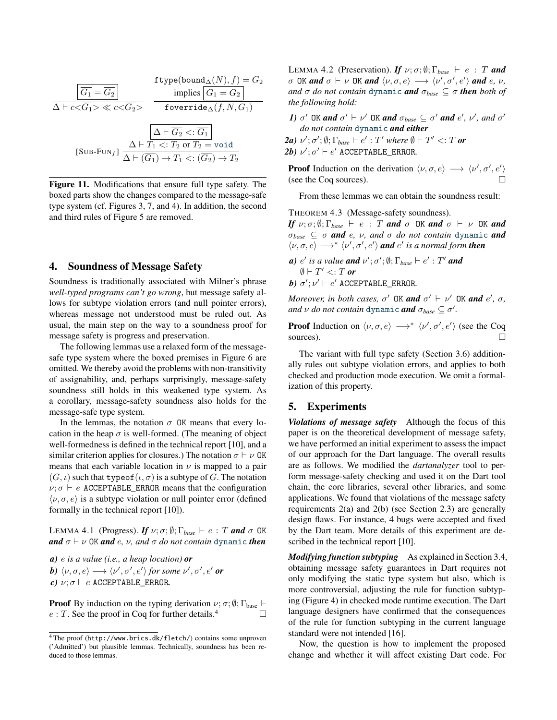| $\overline{G_1} = \overline{G_2}$                           | ftype(bound <sub>Δ</sub> (N), f) = $G_2$                                          |
|-------------------------------------------------------------|-----------------------------------------------------------------------------------|
| $\Delta \vdash c < \overline{G_1} > \ll c < \overline{G_2}$ | fore $\overline{G_1} = G_2$                                                       |
| $\Delta \vdash \overline{G_2} < \overline{G_1}$             |                                                                                   |
| $[\text{SUB-FUN}_f]$                                        | $\Delta \vdash \overline{G_2} < \overline{G_1}$                                   |
| $\Delta \vdash \overline{G_2} < \overline{G_1}$             |                                                                                   |
| $[\text{SUB-FUN}_f]$                                        | $\Delta \vdash (\overline{G_1}) \rightarrow T_1 < \overline{G_2} \rightarrow T_2$ |

Figure 11. Modifications that ensure full type safety. The boxed parts show the changes compared to the message-safe type system (cf. Figures 3, 7, and 4). In addition, the second and third rules of Figure 5 are removed.

### 4. Soundness of Message Safety

Soundness is traditionally associated with Milner's phrase *well-typed programs can't go wrong*, but message safety allows for subtype violation errors (and null pointer errors), whereas message not understood must be ruled out. As usual, the main step on the way to a soundness proof for message safety is progress and preservation.

The following lemmas use a relaxed form of the messagesafe type system where the boxed premises in Figure 6 are omitted. We thereby avoid the problems with non-transitivity of assignability, and, perhaps surprisingly, message-safety soundness still holds in this weakened type system. As a corollary, message-safety soundness also holds for the message-safe type system.

In the lemmas, the notation  $\sigma$  OK means that every location in the heap  $\sigma$  is well-formed. (The meaning of object well-formedness is defined in the technical report [10], and a similar criterion applies for closures.) The notation  $\sigma \vdash \nu$  OK means that each variable location in  $\nu$  is mapped to a pair  $(G, \iota)$  such that typeof $(\iota, \sigma)$  is a subtype of G. The notation  $\nu$ ;  $\sigma \vdash e$  ACCEPTABLE\_ERROR means that the configuration  $\langle \nu, \sigma, e \rangle$  is a subtype violation or null pointer error (defined formally in the technical report [10]).

LEMMA 4.1 (Progress). *If*  $\nu$ ;  $\sigma$ ;  $\emptyset$ ;  $\Gamma_{base} \vdash e$  : T and  $\sigma$  OK *and*  $\sigma \vdash \nu$  OK *and e, v, and*  $\sigma$  *do not contain* dynamic *then* 

- *a)* e *is a value (i.e., a heap location) or*
- *b*)  $\langle \nu, \sigma, e \rangle \longrightarrow \langle \nu', \sigma', e' \rangle$  for some  $\nu', \sigma', e'$  or
- *c*)  $\nu$ ;  $\sigma \vdash e$  ACCEPTABLE\_ERROR.

**Proof** By induction on the typing derivation  $\nu$ ;  $\sigma$ ;  $\emptyset$ ;  $\Gamma_{\text{base}}$   $\vdash$  $e: T$ . See the proof in Coq for further details.<sup>4</sup>

LEMMA 4.2 (Preservation). *If*  $\nu$ ;  $\sigma$ ;  $\emptyset$ ;  $\Gamma_{base} \vdash e$  : T and  $\sigma$  OK and  $\sigma \vdash \nu$  OK and  $\langle \nu, \sigma, e \rangle \longrightarrow \langle \nu', \sigma', e' \rangle$  and  $e, \nu$ , *and*  $\sigma$  *do not contain* dynamic *and*  $\sigma_{base} \subseteq \sigma$  *then both of the following hold:*

*1*)  $\sigma'$  OK *and*  $\sigma' \vdash \nu'$  OK *and*  $\sigma_{base} \subseteq \sigma'$  *and*  $e', \nu'$ *, and*  $\sigma'$ *do not contain* dynamic *and either* **2a**)  $\nu'; \sigma'; \emptyset; \Gamma_{base} \vdash e': T'$  where  $\emptyset \vdash T' \lt: T$  or 2b)  $\nu'; \sigma' \vdash e'$  ACCEPTABLE\_ERROR.

**Proof** Induction on the derivation  $\langle \nu, \sigma, e \rangle \longrightarrow \langle \nu', \sigma', e' \rangle$ (see the Coq sources).  $\Box$ 

From these lemmas we can obtain the soundness result:

THEOREM 4.3 (Message-safety soundness).

*If*  $\nu$ ;  $\sigma$ ;  $\emptyset$ ;  $\Gamma_{base}$   $\vdash$  e : T and  $\sigma$  OK and  $\sigma$   $\vdash$   $\nu$  OK and σ*base* ⊆ σ *and* e*,* ν*, and* σ *do not contain* dynamic *and*  $\langle \nu, \sigma, e \rangle \longrightarrow^* \langle \nu', \sigma', e' \rangle$  and  $e'$  is a normal form then

*a*)  $e'$  is a value and  $\nu'; \sigma'; \emptyset; \Gamma_{base} \vdash e': T'$  and  $\emptyset \vdash T' <: T$  or *b*)  $\sigma'$ ;  $\nu' \vdash e'$  ACCEPTABLE\_ERROR.

*Moreover, in both cases,*  $\sigma'$  OK *and*  $\sigma' \vdash \nu'$  OK *and*  $e'$ ,  $\sigma$ , *and*  $\nu$  *do not contain* dynamic *and*  $\sigma_{base} \subseteq \sigma'$ .

**Proof** Induction on  $\langle \nu, \sigma, e \rangle \longrightarrow^* \langle \nu', \sigma', e' \rangle$  (see the Coq sources).  $\Box$ 

The variant with full type safety (Section 3.6) additionally rules out subtype violation errors, and applies to both checked and production mode execution. We omit a formalization of this property.

### 5. Experiments

*Violations of message safety* Although the focus of this paper is on the theoretical development of message safety, we have performed an initial experiment to assess the impact of our approach for the Dart language. The overall results are as follows. We modified the *dartanalyzer* tool to perform message-safety checking and used it on the Dart tool chain, the core libraries, several other libraries, and some applications. We found that violations of the message safety requirements 2(a) and 2(b) (see Section 2.3) are generally design flaws. For instance, 4 bugs were accepted and fixed by the Dart team. More details of this experiment are described in the technical report [10].

*Modifying function subtyping* As explained in Section 3.4, obtaining message safety guarantees in Dart requires not only modifying the static type system but also, which is more controversial, adjusting the rule for function subtyping (Figure 4) in checked mode runtime execution. The Dart language designers have confirmed that the consequences of the rule for function subtyping in the current language standard were not intended [16].

Now, the question is how to implement the proposed change and whether it will affect existing Dart code. For

<sup>4</sup> The proof (http://www.brics.dk/fletch/) contains some unproven ('Admitted') but plausible lemmas. Technically, soundness has been reduced to those lemmas.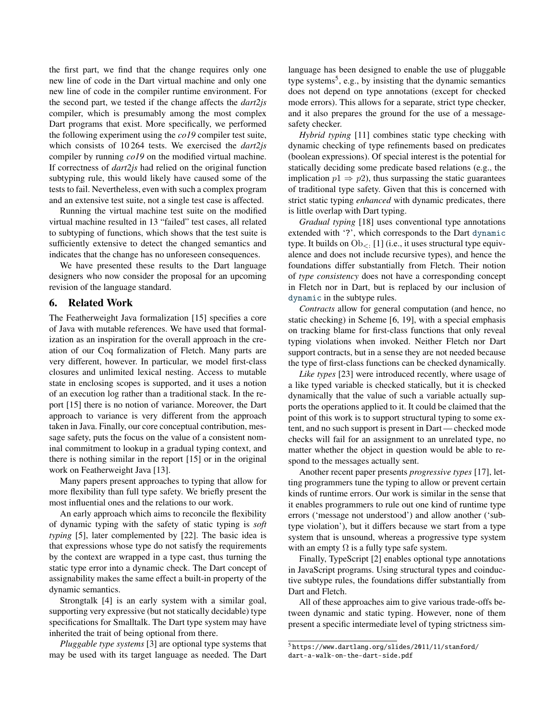the first part, we find that the change requires only one new line of code in the Dart virtual machine and only one new line of code in the compiler runtime environment. For the second part, we tested if the change affects the *dart2js* compiler, which is presumably among the most complex Dart programs that exist. More specifically, we performed the following experiment using the *co19* compiler test suite, which consists of 10 264 tests. We exercised the *dart2js* compiler by running *co19* on the modified virtual machine. If correctness of *dart2js* had relied on the original function subtyping rule, this would likely have caused some of the tests to fail. Nevertheless, even with such a complex program and an extensive test suite, not a single test case is affected.

Running the virtual machine test suite on the modified virtual machine resulted in 13 "failed" test cases, all related to subtyping of functions, which shows that the test suite is sufficiently extensive to detect the changed semantics and indicates that the change has no unforeseen consequences.

We have presented these results to the Dart language designers who now consider the proposal for an upcoming revision of the language standard.

# 6. Related Work

The Featherweight Java formalization [15] specifies a core of Java with mutable references. We have used that formalization as an inspiration for the overall approach in the creation of our Coq formalization of Fletch. Many parts are very different, however. In particular, we model first-class closures and unlimited lexical nesting. Access to mutable state in enclosing scopes is supported, and it uses a notion of an execution log rather than a traditional stack. In the report [15] there is no notion of variance. Moreover, the Dart approach to variance is very different from the approach taken in Java. Finally, our core conceptual contribution, message safety, puts the focus on the value of a consistent nominal commitment to lookup in a gradual typing context, and there is nothing similar in the report [15] or in the original work on Featherweight Java [13].

Many papers present approaches to typing that allow for more flexibility than full type safety. We briefly present the most influential ones and the relations to our work.

An early approach which aims to reconcile the flexibility of dynamic typing with the safety of static typing is *soft typing* [5], later complemented by [22]. The basic idea is that expressions whose type do not satisfy the requirements by the context are wrapped in a type cast, thus turning the static type error into a dynamic check. The Dart concept of assignability makes the same effect a built-in property of the dynamic semantics.

Strongtalk [4] is an early system with a similar goal, supporting very expressive (but not statically decidable) type specifications for Smalltalk. The Dart type system may have inherited the trait of being optional from there.

*Pluggable type systems* [3] are optional type systems that may be used with its target language as needed. The Dart language has been designed to enable the use of pluggable type systems<sup>5</sup>, e.g., by insisting that the dynamic semantics does not depend on type annotations (except for checked mode errors). This allows for a separate, strict type checker, and it also prepares the ground for the use of a messagesafety checker.

*Hybrid typing* [11] combines static type checking with dynamic checking of type refinements based on predicates (boolean expressions). Of special interest is the potential for statically deciding some predicate based relations (e.g., the implication  $p1 \Rightarrow p2$ ), thus surpassing the static guarantees of traditional type safety. Given that this is concerned with strict static typing *enhanced* with dynamic predicates, there is little overlap with Dart typing.

*Gradual typing* [18] uses conventional type annotations extended with '?', which corresponds to the Dart dynamic type. It builds on  $Ob_{\leq 1}$  [1] (i.e., it uses structural type equivalence and does not include recursive types), and hence the foundations differ substantially from Fletch. Their notion of *type consistency* does not have a corresponding concept in Fletch nor in Dart, but is replaced by our inclusion of dynamic in the subtype rules.

*Contracts* allow for general computation (and hence, no static checking) in Scheme [6, 19], with a special emphasis on tracking blame for first-class functions that only reveal typing violations when invoked. Neither Fletch nor Dart support contracts, but in a sense they are not needed because the type of first-class functions can be checked dynamically.

*Like types* [23] were introduced recently, where usage of a like typed variable is checked statically, but it is checked dynamically that the value of such a variable actually supports the operations applied to it. It could be claimed that the point of this work is to support structural typing to some extent, and no such support is present in Dart — checked mode checks will fail for an assignment to an unrelated type, no matter whether the object in question would be able to respond to the messages actually sent.

Another recent paper presents *progressive types* [17], letting programmers tune the typing to allow or prevent certain kinds of runtime errors. Our work is similar in the sense that it enables programmers to rule out one kind of runtime type errors ('message not understood') and allow another ('subtype violation'), but it differs because we start from a type system that is unsound, whereas a progressive type system with an empty  $\Omega$  is a fully type safe system.

Finally, TypeScript [2] enables optional type annotations in JavaScript programs. Using structural types and coinductive subtype rules, the foundations differ substantially from Dart and Fletch.

All of these approaches aim to give various trade-offs between dynamic and static typing. However, none of them present a specific intermediate level of typing strictness sim-

<sup>5</sup> https://www.dartlang.org/slides/2011/11/stanford/ dart-a-walk-on-the-dart-side.pdf